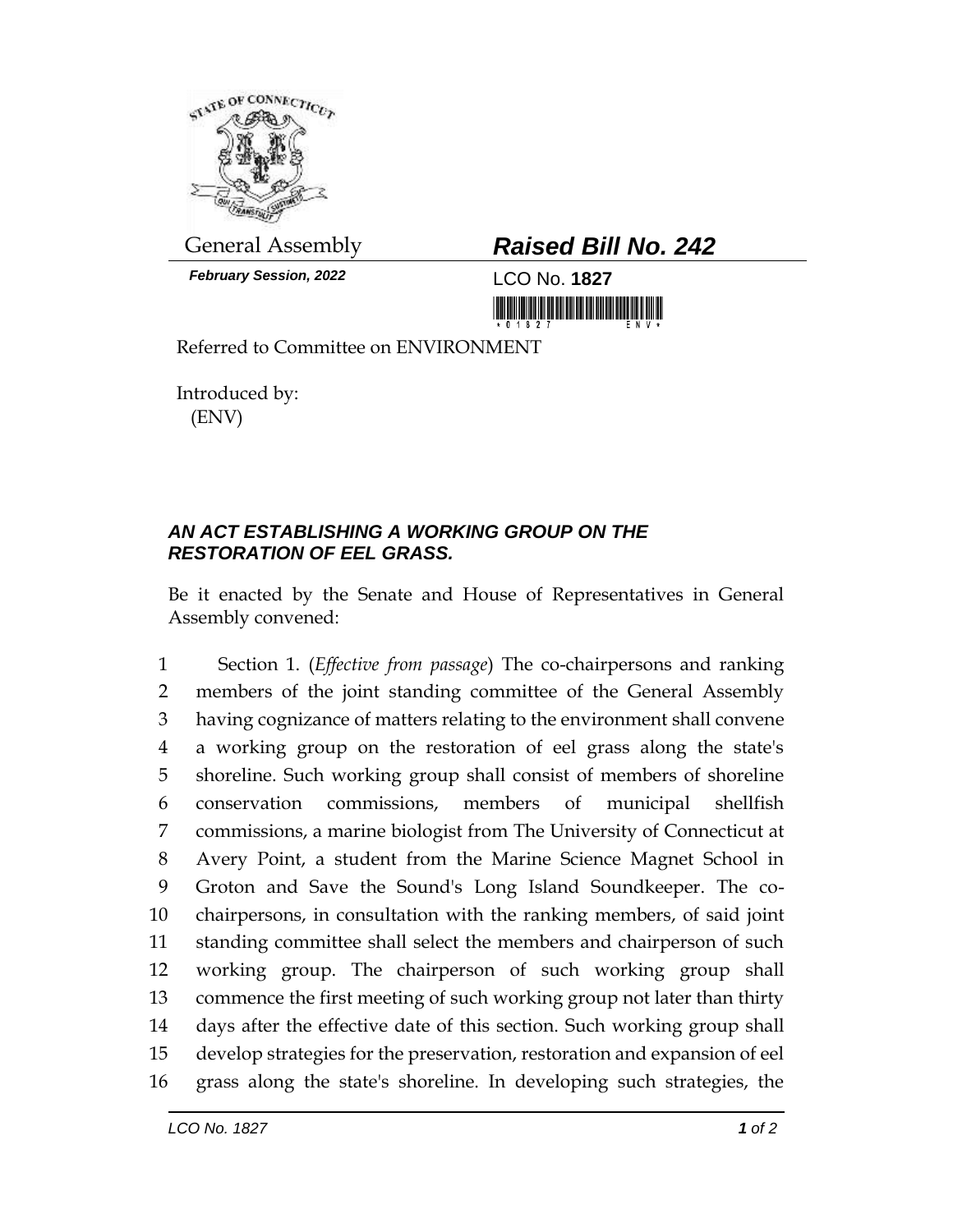

*February Session, 2022* LCO No. **1827**

## General Assembly *Raised Bill No. 242*

Referred to Committee on ENVIRONMENT

Introduced by: (ENV)

## *AN ACT ESTABLISHING A WORKING GROUP ON THE RESTORATION OF EEL GRASS.*

Be it enacted by the Senate and House of Representatives in General Assembly convened:

 Section 1. (*Effective from passage*) The co-chairpersons and ranking members of the joint standing committee of the General Assembly having cognizance of matters relating to the environment shall convene a working group on the restoration of eel grass along the state's shoreline. Such working group shall consist of members of shoreline conservation commissions, members of municipal shellfish commissions, a marine biologist from The University of Connecticut at Avery Point, a student from the Marine Science Magnet School in Groton and Save the Sound's Long Island Soundkeeper. The co- chairpersons, in consultation with the ranking members, of said joint standing committee shall select the members and chairperson of such working group. The chairperson of such working group shall commence the first meeting of such working group not later than thirty days after the effective date of this section. Such working group shall develop strategies for the preservation, restoration and expansion of eel grass along the state's shoreline. In developing such strategies, the